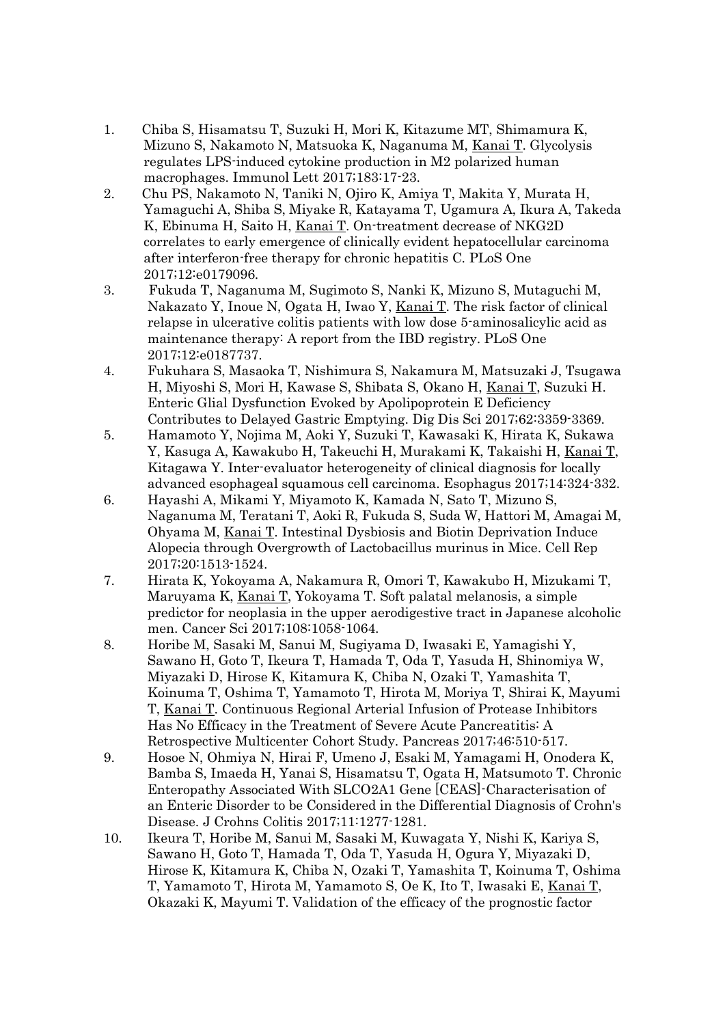- 1. Chiba S, Hisamatsu T, Suzuki H, Mori K, Kitazume MT, Shimamura K, Mizuno S, Nakamoto N, Matsuoka K, Naganuma M, Kanai T. Glycolysis regulates LPS-induced cytokine production in M2 polarized human macrophages. Immunol Lett 2017;183:17-23.
- 2. Chu PS, Nakamoto N, Taniki N, Ojiro K, Amiya T, Makita Y, Murata H, Yamaguchi A, Shiba S, Miyake R, Katayama T, Ugamura A, Ikura A, Takeda K, Ebinuma H, Saito H, Kanai T. On-treatment decrease of NKG2D correlates to early emergence of clinically evident hepatocellular carcinoma after interferon-free therapy for chronic hepatitis C. PLoS One 2017;12:e0179096.
- 3. Fukuda T, Naganuma M, Sugimoto S, Nanki K, Mizuno S, Mutaguchi M, Nakazato Y, Inoue N, Ogata H, Iwao Y, Kanai T. The risk factor of clinical relapse in ulcerative colitis patients with low dose 5-aminosalicylic acid as maintenance therapy: A report from the IBD registry. PLoS One 2017;12:e0187737.
- 4. Fukuhara S, Masaoka T, Nishimura S, Nakamura M, Matsuzaki J, Tsugawa H, Miyoshi S, Mori H, Kawase S, Shibata S, Okano H, Kanai T, Suzuki H. Enteric Glial Dysfunction Evoked by Apolipoprotein E Deficiency Contributes to Delayed Gastric Emptying. Dig Dis Sci 2017;62:3359-3369.
- 5. Hamamoto Y, Nojima M, Aoki Y, Suzuki T, Kawasaki K, Hirata K, Sukawa Y, Kasuga A, Kawakubo H, Takeuchi H, Murakami K, Takaishi H, Kanai T, Kitagawa Y. Inter-evaluator heterogeneity of clinical diagnosis for locally advanced esophageal squamous cell carcinoma. Esophagus 2017;14:324-332.
- 6. Hayashi A, Mikami Y, Miyamoto K, Kamada N, Sato T, Mizuno S, Naganuma M, Teratani T, Aoki R, Fukuda S, Suda W, Hattori M, Amagai M, Ohyama M, Kanai T. Intestinal Dysbiosis and Biotin Deprivation Induce Alopecia through Overgrowth of Lactobacillus murinus in Mice. Cell Rep 2017;20:1513-1524.
- 7. Hirata K, Yokoyama A, Nakamura R, Omori T, Kawakubo H, Mizukami T, Maruyama K, Kanai T, Yokoyama T. Soft palatal melanosis, a simple predictor for neoplasia in the upper aerodigestive tract in Japanese alcoholic men. Cancer Sci 2017;108:1058-1064.
- 8. Horibe M, Sasaki M, Sanui M, Sugiyama D, Iwasaki E, Yamagishi Y, Sawano H, Goto T, Ikeura T, Hamada T, Oda T, Yasuda H, Shinomiya W, Miyazaki D, Hirose K, Kitamura K, Chiba N, Ozaki T, Yamashita T, Koinuma T, Oshima T, Yamamoto T, Hirota M, Moriya T, Shirai K, Mayumi T, Kanai T. Continuous Regional Arterial Infusion of Protease Inhibitors Has No Efficacy in the Treatment of Severe Acute Pancreatitis: A Retrospective Multicenter Cohort Study. Pancreas 2017;46:510-517.
- 9. Hosoe N, Ohmiya N, Hirai F, Umeno J, Esaki M, Yamagami H, Onodera K, Bamba S, Imaeda H, Yanai S, Hisamatsu T, Ogata H, Matsumoto T. Chronic Enteropathy Associated With SLCO2A1 Gene [CEAS]-Characterisation of an Enteric Disorder to be Considered in the Differential Diagnosis of Crohn's Disease. J Crohns Colitis 2017;11:1277-1281.
- 10. Ikeura T, Horibe M, Sanui M, Sasaki M, Kuwagata Y, Nishi K, Kariya S, Sawano H, Goto T, Hamada T, Oda T, Yasuda H, Ogura Y, Miyazaki D, Hirose K, Kitamura K, Chiba N, Ozaki T, Yamashita T, Koinuma T, Oshima T, Yamamoto T, Hirota M, Yamamoto S, Oe K, Ito T, Iwasaki E, Kanai T, Okazaki K, Mayumi T. Validation of the efficacy of the prognostic factor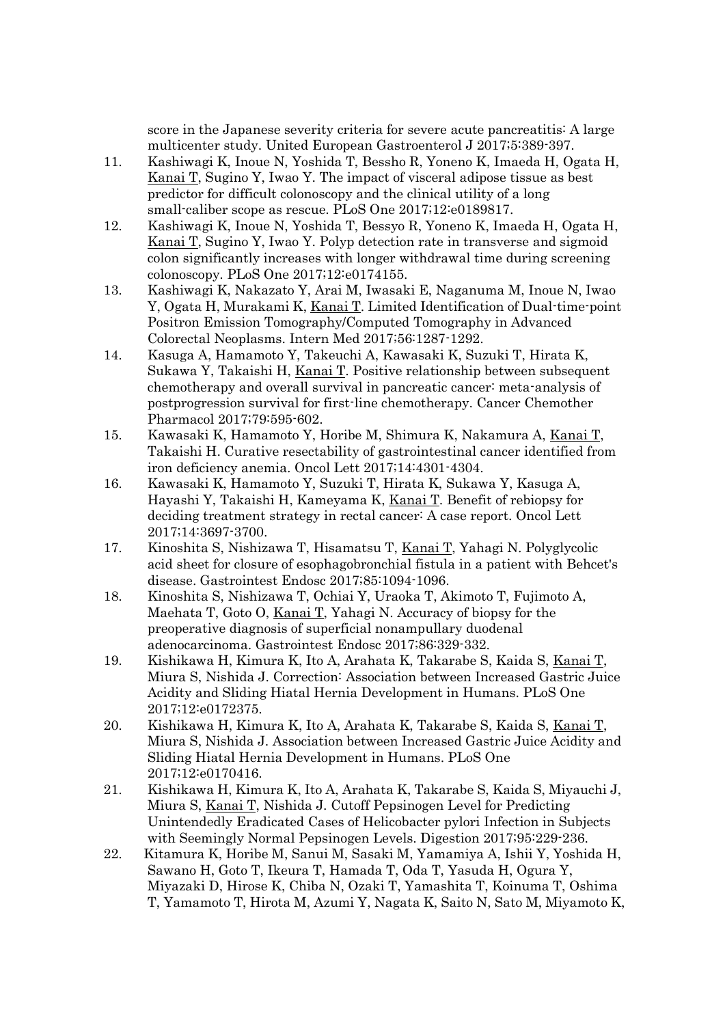score in the Japanese severity criteria for severe acute pancreatitis: A large multicenter study. United European Gastroenterol J 2017;5:389-397.

- 11. Kashiwagi K, Inoue N, Yoshida T, Bessho R, Yoneno K, Imaeda H, Ogata H, Kanai T, Sugino Y, Iwao Y. The impact of visceral adipose tissue as best predictor for difficult colonoscopy and the clinical utility of a long small-caliber scope as rescue. PLoS One 2017;12:e0189817.
- 12. Kashiwagi K, Inoue N, Yoshida T, Bessyo R, Yoneno K, Imaeda H, Ogata H, Kanai T, Sugino Y, Iwao Y. Polyp detection rate in transverse and sigmoid colon significantly increases with longer withdrawal time during screening colonoscopy. PLoS One 2017;12:e0174155.
- 13. Kashiwagi K, Nakazato Y, Arai M, Iwasaki E, Naganuma M, Inoue N, Iwao Y, Ogata H, Murakami K, Kanai T. Limited Identification of Dual-time-point Positron Emission Tomography/Computed Tomography in Advanced Colorectal Neoplasms. Intern Med 2017;56:1287-1292.
- 14. Kasuga A, Hamamoto Y, Takeuchi A, Kawasaki K, Suzuki T, Hirata K, Sukawa Y, Takaishi H, Kanai T. Positive relationship between subsequent chemotherapy and overall survival in pancreatic cancer: meta-analysis of postprogression survival for first-line chemotherapy. Cancer Chemother Pharmacol 2017;79:595-602.
- 15. Kawasaki K, Hamamoto Y, Horibe M, Shimura K, Nakamura A, Kanai T, Takaishi H. Curative resectability of gastrointestinal cancer identified from iron deficiency anemia. Oncol Lett 2017;14:4301-4304.
- 16. Kawasaki K, Hamamoto Y, Suzuki T, Hirata K, Sukawa Y, Kasuga A, Hayashi Y, Takaishi H, Kameyama K, Kanai T. Benefit of rebiopsy for deciding treatment strategy in rectal cancer: A case report. Oncol Lett 2017;14:3697-3700.
- 17. Kinoshita S, Nishizawa T, Hisamatsu T, Kanai T, Yahagi N. Polyglycolic acid sheet for closure of esophagobronchial fistula in a patient with Behcet's disease. Gastrointest Endosc 2017;85:1094-1096.
- 18. Kinoshita S, Nishizawa T, Ochiai Y, Uraoka T, Akimoto T, Fujimoto A, Maehata T, Goto O, Kanai T, Yahagi N. Accuracy of biopsy for the preoperative diagnosis of superficial nonampullary duodenal adenocarcinoma. Gastrointest Endosc 2017;86:329-332.
- 19. Kishikawa H, Kimura K, Ito A, Arahata K, Takarabe S, Kaida S, Kanai T, Miura S, Nishida J. Correction: Association between Increased Gastric Juice Acidity and Sliding Hiatal Hernia Development in Humans. PLoS One 2017;12:e0172375.
- 20. Kishikawa H, Kimura K, Ito A, Arahata K, Takarabe S, Kaida S, Kanai T, Miura S, Nishida J. Association between Increased Gastric Juice Acidity and Sliding Hiatal Hernia Development in Humans. PLoS One 2017;12:e0170416.
- 21. Kishikawa H, Kimura K, Ito A, Arahata K, Takarabe S, Kaida S, Miyauchi J, Miura S, Kanai T, Nishida J. Cutoff Pepsinogen Level for Predicting Unintendedly Eradicated Cases of Helicobacter pylori Infection in Subjects with Seemingly Normal Pepsinogen Levels. Digestion 2017;95:229-236.
- 22. Kitamura K, Horibe M, Sanui M, Sasaki M, Yamamiya A, Ishii Y, Yoshida H, Sawano H, Goto T, Ikeura T, Hamada T, Oda T, Yasuda H, Ogura Y, Miyazaki D, Hirose K, Chiba N, Ozaki T, Yamashita T, Koinuma T, Oshima T, Yamamoto T, Hirota M, Azumi Y, Nagata K, Saito N, Sato M, Miyamoto K,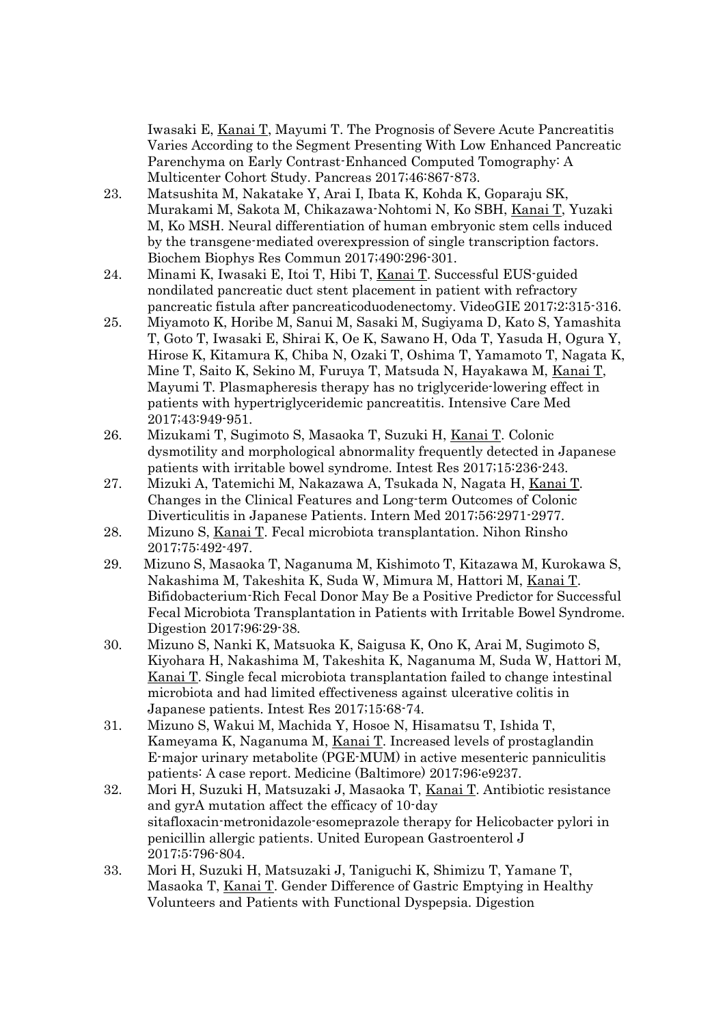Iwasaki E, Kanai T, Mayumi T. The Prognosis of Severe Acute Pancreatitis Varies According to the Segment Presenting With Low Enhanced Pancreatic Parenchyma on Early Contrast-Enhanced Computed Tomography: A Multicenter Cohort Study. Pancreas 2017;46:867-873.

- 23. Matsushita M, Nakatake Y, Arai I, Ibata K, Kohda K, Goparaju SK, Murakami M, Sakota M, Chikazawa-Nohtomi N, Ko SBH, Kanai T, Yuzaki M, Ko MSH. Neural differentiation of human embryonic stem cells induced by the transgene-mediated overexpression of single transcription factors. Biochem Biophys Res Commun 2017;490:296-301.
- 24. Minami K, Iwasaki E, Itoi T, Hibi T, Kanai T. Successful EUS-guided nondilated pancreatic duct stent placement in patient with refractory pancreatic fistula after pancreaticoduodenectomy. VideoGIE 2017;2:315-316.
- 25. Miyamoto K, Horibe M, Sanui M, Sasaki M, Sugiyama D, Kato S, Yamashita T, Goto T, Iwasaki E, Shirai K, Oe K, Sawano H, Oda T, Yasuda H, Ogura Y, Hirose K, Kitamura K, Chiba N, Ozaki T, Oshima T, Yamamoto T, Nagata K, Mine T, Saito K, Sekino M, Furuya T, Matsuda N, Hayakawa M, Kanai T, Mayumi T. Plasmapheresis therapy has no triglyceride-lowering effect in patients with hypertriglyceridemic pancreatitis. Intensive Care Med 2017;43:949-951.
- 26. Mizukami T, Sugimoto S, Masaoka T, Suzuki H, Kanai T. Colonic dysmotility and morphological abnormality frequently detected in Japanese patients with irritable bowel syndrome. Intest Res 2017;15:236-243.
- 27. Mizuki A, Tatemichi M, Nakazawa A, Tsukada N, Nagata H, Kanai T. Changes in the Clinical Features and Long-term Outcomes of Colonic Diverticulitis in Japanese Patients. Intern Med 2017;56:2971-2977.
- 28. Mizuno S, Kanai T. Fecal microbiota transplantation. Nihon Rinsho 2017;75:492-497.
- 29. Mizuno S, Masaoka T, Naganuma M, Kishimoto T, Kitazawa M, Kurokawa S, Nakashima M, Takeshita K, Suda W, Mimura M, Hattori M, Kanai T. Bifidobacterium-Rich Fecal Donor May Be a Positive Predictor for Successful Fecal Microbiota Transplantation in Patients with Irritable Bowel Syndrome. Digestion 2017;96:29-38.
- 30. Mizuno S, Nanki K, Matsuoka K, Saigusa K, Ono K, Arai M, Sugimoto S, Kiyohara H, Nakashima M, Takeshita K, Naganuma M, Suda W, Hattori M, Kanai T. Single fecal microbiota transplantation failed to change intestinal microbiota and had limited effectiveness against ulcerative colitis in Japanese patients. Intest Res 2017;15:68-74.
- 31. Mizuno S, Wakui M, Machida Y, Hosoe N, Hisamatsu T, Ishida T, Kameyama K, Naganuma M, Kanai T. Increased levels of prostaglandin E-major urinary metabolite (PGE-MUM) in active mesenteric panniculitis patients: A case report. Medicine (Baltimore) 2017;96:e9237.
- 32. Mori H, Suzuki H, Matsuzaki J, Masaoka T, Kanai T. Antibiotic resistance and gyrA mutation affect the efficacy of 10-day sitafloxacin-metronidazole-esomeprazole therapy for Helicobacter pylori in penicillin allergic patients. United European Gastroenterol J 2017;5:796-804.
- 33. Mori H, Suzuki H, Matsuzaki J, Taniguchi K, Shimizu T, Yamane T, Masaoka T, Kanai T. Gender Difference of Gastric Emptying in Healthy Volunteers and Patients with Functional Dyspepsia. Digestion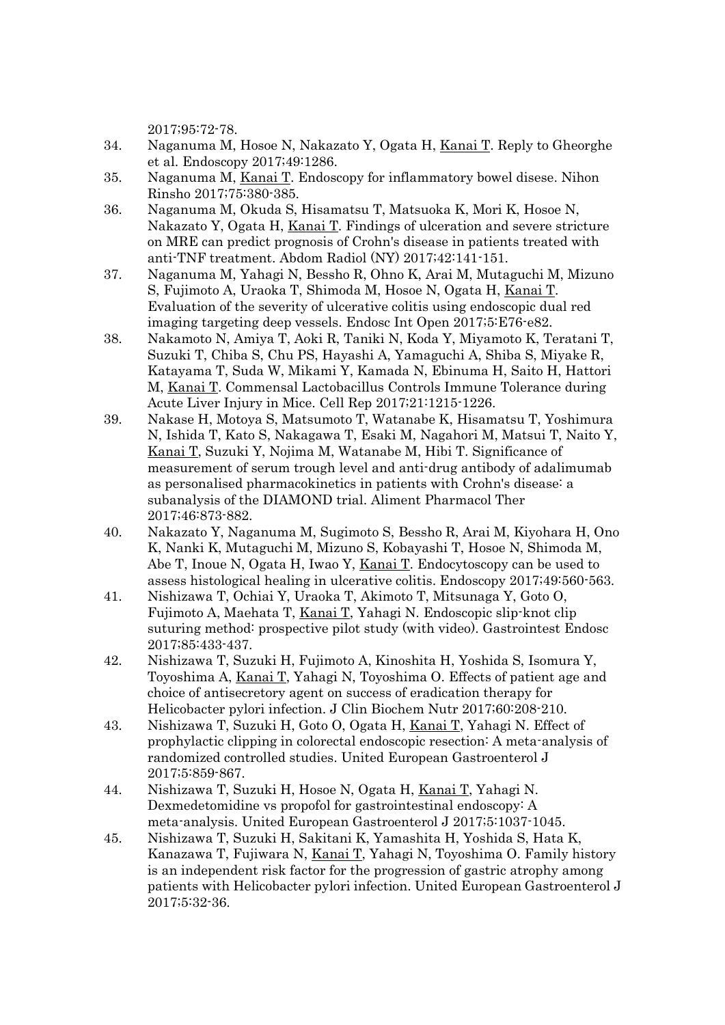2017;95:72-78.

- 34. Naganuma M, Hosoe N, Nakazato Y, Ogata H, Kanai T. Reply to Gheorghe et al. Endoscopy 2017;49:1286.
- 35. Naganuma M, Kanai T. Endoscopy for inflammatory bowel disese. Nihon Rinsho 2017;75:380-385.
- 36. Naganuma M, Okuda S, Hisamatsu T, Matsuoka K, Mori K, Hosoe N, Nakazato Y, Ogata H, Kanai T. Findings of ulceration and severe stricture on MRE can predict prognosis of Crohn's disease in patients treated with anti-TNF treatment. Abdom Radiol (NY) 2017;42:141-151.
- 37. Naganuma M, Yahagi N, Bessho R, Ohno K, Arai M, Mutaguchi M, Mizuno S, Fujimoto A, Uraoka T, Shimoda M, Hosoe N, Ogata H, Kanai T. Evaluation of the severity of ulcerative colitis using endoscopic dual red imaging targeting deep vessels. Endosc Int Open 2017;5:E76-e82.
- 38. Nakamoto N, Amiya T, Aoki R, Taniki N, Koda Y, Miyamoto K, Teratani T, Suzuki T, Chiba S, Chu PS, Hayashi A, Yamaguchi A, Shiba S, Miyake R, Katayama T, Suda W, Mikami Y, Kamada N, Ebinuma H, Saito H, Hattori M, Kanai T. Commensal Lactobacillus Controls Immune Tolerance during Acute Liver Injury in Mice. Cell Rep 2017;21:1215-1226.
- 39. Nakase H, Motoya S, Matsumoto T, Watanabe K, Hisamatsu T, Yoshimura N, Ishida T, Kato S, Nakagawa T, Esaki M, Nagahori M, Matsui T, Naito Y, Kanai T, Suzuki Y, Nojima M, Watanabe M, Hibi T. Significance of measurement of serum trough level and anti-drug antibody of adalimumab as personalised pharmacokinetics in patients with Crohn's disease: a subanalysis of the DIAMOND trial. Aliment Pharmacol Ther 2017;46:873-882.
- 40. Nakazato Y, Naganuma M, Sugimoto S, Bessho R, Arai M, Kiyohara H, Ono K, Nanki K, Mutaguchi M, Mizuno S, Kobayashi T, Hosoe N, Shimoda M, Abe T, Inoue N, Ogata H, Iwao Y, Kanai T. Endocytoscopy can be used to assess histological healing in ulcerative colitis. Endoscopy 2017;49:560-563.
- 41. Nishizawa T, Ochiai Y, Uraoka T, Akimoto T, Mitsunaga Y, Goto O, Fujimoto A, Maehata T, Kanai T, Yahagi N. Endoscopic slip-knot clip suturing method: prospective pilot study (with video). Gastrointest Endosc 2017;85:433-437.
- 42. Nishizawa T, Suzuki H, Fujimoto A, Kinoshita H, Yoshida S, Isomura Y, Toyoshima A, Kanai T, Yahagi N, Toyoshima O. Effects of patient age and choice of antisecretory agent on success of eradication therapy for Helicobacter pylori infection. J Clin Biochem Nutr 2017;60:208-210.
- 43. Nishizawa T, Suzuki H, Goto O, Ogata H, Kanai T, Yahagi N. Effect of prophylactic clipping in colorectal endoscopic resection: A meta-analysis of randomized controlled studies. United European Gastroenterol J 2017;5:859-867.
- 44. Nishizawa T, Suzuki H, Hosoe N, Ogata H, Kanai T, Yahagi N. Dexmedetomidine vs propofol for gastrointestinal endoscopy: A meta-analysis. United European Gastroenterol J 2017;5:1037-1045.
- 45. Nishizawa T, Suzuki H, Sakitani K, Yamashita H, Yoshida S, Hata K, Kanazawa T, Fujiwara N, Kanai T, Yahagi N, Toyoshima O. Family history is an independent risk factor for the progression of gastric atrophy among patients with Helicobacter pylori infection. United European Gastroenterol J 2017;5:32-36.